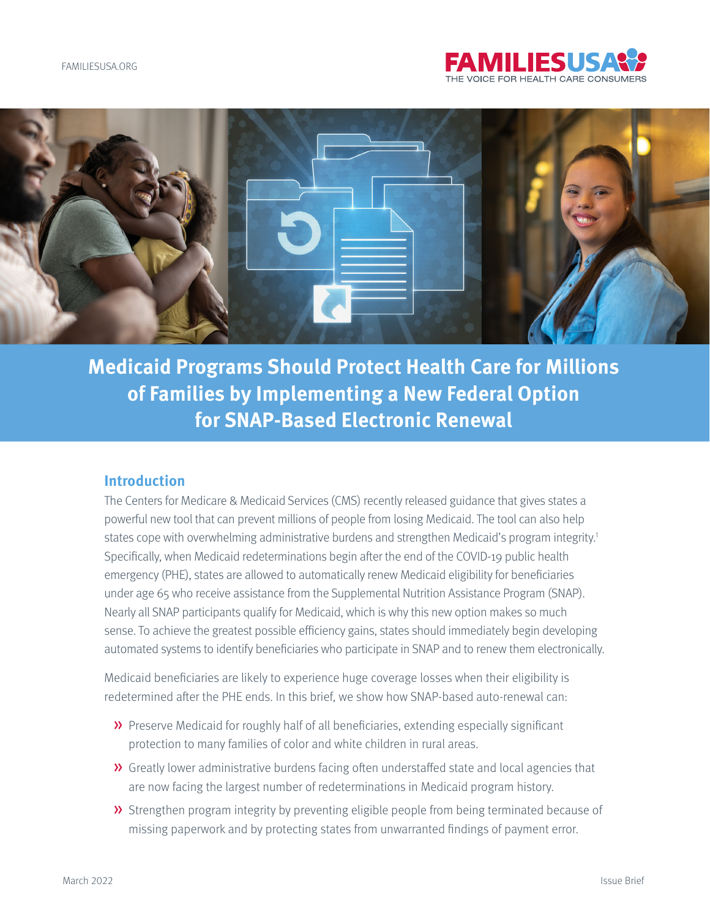

<span id="page-0-0"></span>

**Medicaid Programs Should Protect Health Care for Millions of Families by Implementing a New Federal Option for SNAP-Based Electronic Renewal** 

#### **Introduction**

The Centers for Medicare & Medicaid Services (CMS) recently released guidance that gives states a powerful new tool that can prevent millions of people from losing Medicaid. The tool can also help states cope with overwhelming administrative burdens and strengthen Medicaid's program integrity.<sup>1</sup> Specifically, when Medicaid redeterminations begin after the end of the COVID-19 public health emergency (PHE), states are allowed to automatically renew Medicaid eligibility for beneficiaries under age 65 who receive assistance from the Supplemental Nutrition Assistance Program (SNAP). Nearly all SNAP participants qualify for Medicaid, which is why this new option makes so much sense. To achieve the greatest possible efficiency gains, states should immediately begin developing automated systems to identify beneficiaries who participate in SNAP and to renew them electronically.

Medicaid beneficiaries are likely to experience huge coverage losses when their eligibility is redetermined after the PHE ends. In this brief, we show how SNAP-based auto-renewal can:

- » Preserve Medicaid for roughly half of all beneficiaries, extending especially significant protection to many families of color and white children in rural areas.
- » Greatly lower administrative burdens facing often understaffed state and local agencies that are now facing the largest number of redeterminations in Medicaid program history.
- » Strengthen program integrity by preventing eligible people from being terminated because of missing paperwork and by protecting states from unwarranted findings of payment error.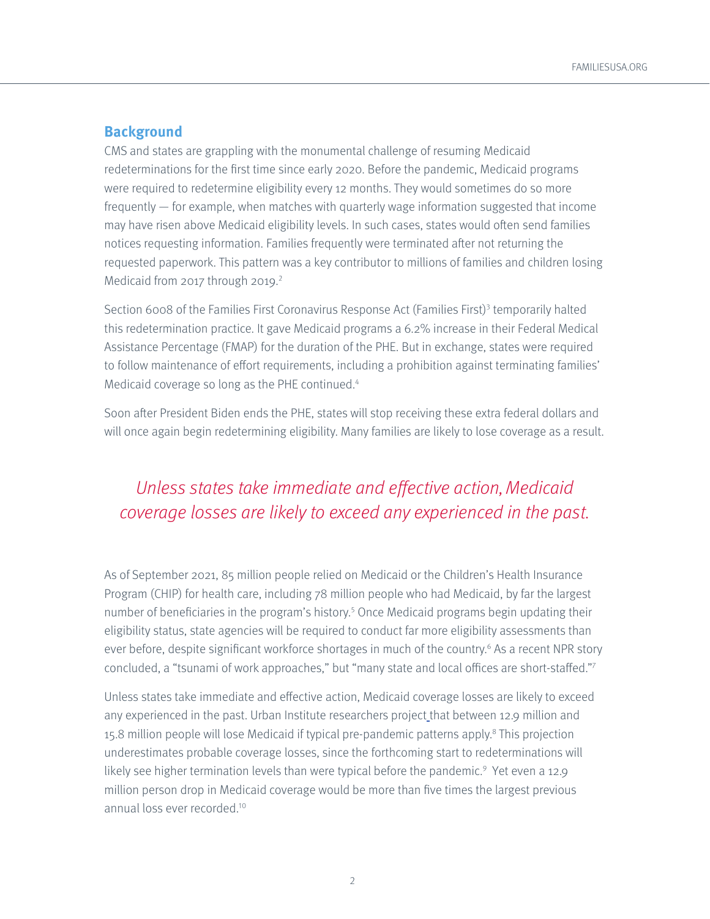### <span id="page-1-0"></span>**Background**

CMS and states are grappling with the monumental challenge of resuming Medicaid redeterminations for the first time since early 2020. Before the pandemic, Medicaid programs were required to redetermine eligibility every 12 months. They would sometimes do so more frequently — for example, when matches with quarterly wage information suggested that income may have risen above Medicaid eligibility levels. In such cases, states would often send families notices requesting information. Families frequently were terminated after not returning the requested paperwork. This pattern was a key contributor to millions of families and children losing Medicaid from 2017 through 2019. $2$ 

Section 6008 of the Families First Coronavirus Response Act (Families First)<sup>[3](#page-8-0)</sup> temporarily halted this redetermination practice. It gave Medicaid programs a 6.2% increase in their Federal Medical Assistance Percentage (FMAP) for the duration of the PHE. But in exchange, states were required to follow maintenance of effort requirements, including a prohibition against terminating families' Medicaid coverage so long as the PHE continued.<sup>4</sup>

Soon after President Biden ends the PHE, states will stop receiving these extra federal dollars and will once again begin redetermining eligibility. Many families are likely to lose coverage as a result.

# Unless states take immediate and effective action, Medicaid coverage losses are likely to exceed any experienced in the past.

As of September 2021, 85 million people relied on Medicaid or the Children's Health Insurance Program (CHIP) for health care, including 78 million people who had Medicaid, by far the largest number of beneficiaries in the program's history.<sup>[5](#page-8-0)</sup> Once Medicaid programs begin updating their eligibility status, state agencies will be required to conduct far more eligibility assessments than ever before, despite significant workforce shortages in much of the country.<sup>6</sup> As a recent NPR story concluded, a "tsunami of work approaches," but "many state and local offices are short-staffed."[7](#page-8-0)

Unless states take immediate and effective action, Medicaid coverage losses are likely to exceed any experienced in the past. Urban Institute researchers project that between 12.9 million and 15.[8](#page-8-0) million people will lose Medicaid if typical pre-pandemic patterns apply.<sup>8</sup> This projection underestimates probable coverage losses, since the forthcoming start to redeterminations will likely see higher termination levels than were typical before the pandemic.<sup>9</sup> Yet even a 12[.9](#page-8-0) million person drop in Medicaid coverage would be more than five times the largest previous annual loss ever recorded[.10](#page-8-0)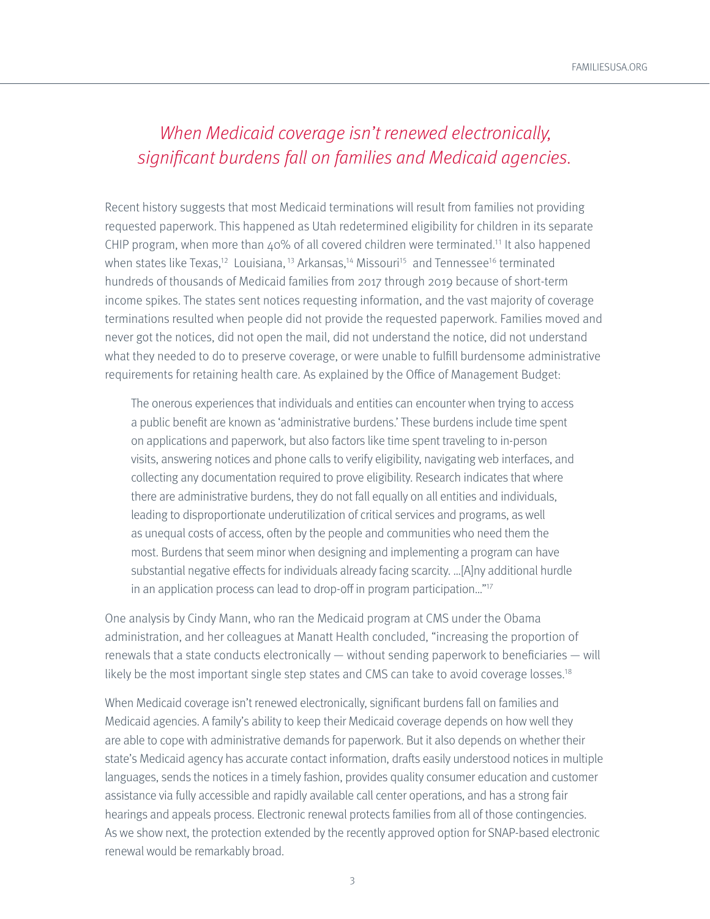## <span id="page-2-0"></span>When Medicaid coverage isn't renewed electronically, significant burdens fall on families and Medicaid agencies.

Recent history suggests that most Medicaid terminations will result from families not providing requested paperwork. This happened as Utah redetermined eligibility for children in its separate CHIP program, when more than  $40\%$  of all covered children were terminated.<sup>11</sup> It also happened when states like Texas,<sup>12</sup> Louisiana,<sup>[13](#page-9-0)</sup> Arkansas,<sup>14</sup> Missouri<sup>15</sup> and Tennessee<sup>[16](#page-9-0)</sup> terminated hundreds of thousands of Medicaid families from 2017 through 2019 because of short-term income spikes. The states sent notices requesting information, and the vast majority of coverage terminations resulted when people did not provide the requested paperwork. Families moved and never got the notices, did not open the mail, did not understand the notice, did not understand what they needed to do to preserve coverage, or were unable to fulfill burdensome administrative requirements for retaining health care. As explained by the Office of Management Budget:

The onerous experiences that individuals and entities can encounter when trying to access a public benefit are known as 'administrative burdens.' These burdens include time spent on applications and paperwork, but also factors like time spent traveling to in-person visits, answering notices and phone calls to verify eligibility, navigating web interfaces, and collecting any documentation required to prove eligibility. Research indicates that where there are administrative burdens, they do not fall equally on all entities and individuals, leading to disproportionate underutilization of critical services and programs, as well as unequal costs of access, often by the people and communities who need them the most. Burdens that seem minor when designing and implementing a program can have substantial negative effects for individuals already facing scarcity. …[A]ny additional hurdle in an application process can lead to drop-off in program participation…"[17](#page-9-0)

One analysis by Cindy Mann, who ran the Medicaid program at CMS under the Obama administration, and her colleagues at Manatt Health concluded, "increasing the proportion of renewals that a state conducts electronically — without sending paperwork to beneficiaries — will likely be the most important single step states and CMS can take to avoid coverage losses.<sup>18</sup>

When Medicaid coverage isn't renewed electronically, significant burdens fall on families and Medicaid agencies. A family's ability to keep their Medicaid coverage depends on how well they are able to cope with administrative demands for paperwork. But it also depends on whether their state's Medicaid agency has accurate contact information, drafts easily understood notices in multiple languages, sends the notices in a timely fashion, provides quality consumer education and customer assistance via fully accessible and rapidly available call center operations, and has a strong fair hearings and appeals process. Electronic renewal protects families from all of those contingencies. As we show next, the protection extended by the recently approved option for SNAP-based electronic renewal would be remarkably broad.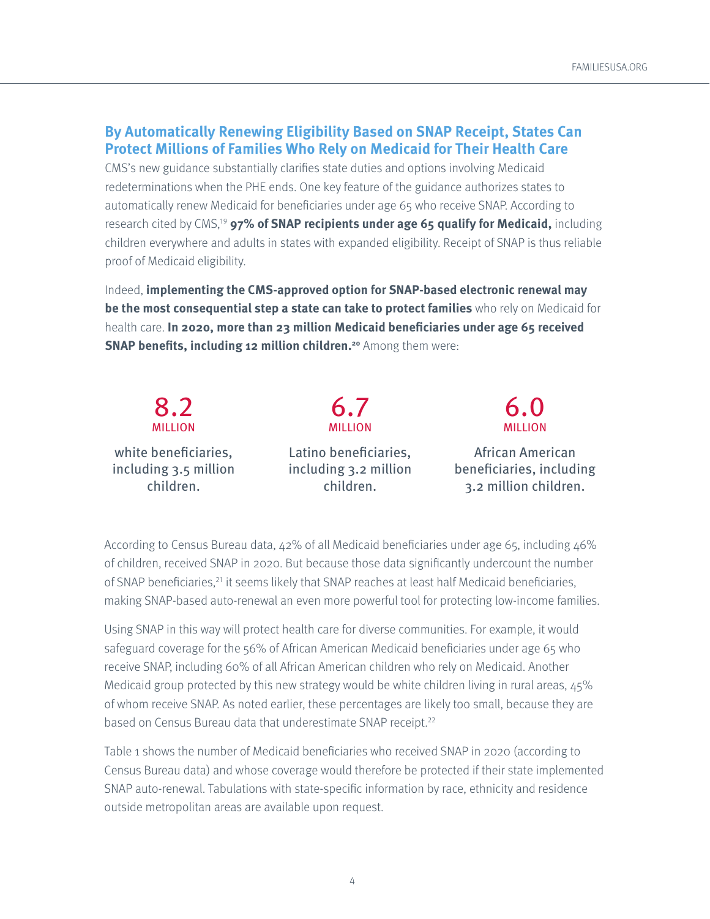### **By Automatically Renewing Eligibility Based on SNAP Receipt, States Can Protect Millions of Families Who Rely on Medicaid for Their Health Care**

CMS's new guidance substantially clarifies state duties and options involving Medicaid redeterminations when the PHE ends. One key feature of the guidance authorizes states to automatically renew Medicaid for beneficiaries under age 65 who receive SNAP. According to research cited by CMS,<sup>[19](#page-10-0)</sup> 97% of SNAP recipients under age 65 qualify for Medicaid, including children everywhere and adults in states with expanded eligibility. Receipt of SNAP is thus reliable proof of Medicaid eligibility.

Indeed, **implementing the CMS-approved option for SNAP-based electronic renewal may be the most consequential step a state can take to protect families** who rely on Medicaid for health care. **In 2020, more than 23 million Medicaid beneficiaries under age 65 received SNAP benefits, including 12 million children.<sup>20</sup> Among them were:** 

| 8.2                   | 6.7                   | 6.0                      |
|-----------------------|-----------------------|--------------------------|
| <b>MILLION</b>        | <b>MILLION</b>        | <b>MILLION</b>           |
| white beneficiaries,  | Latino beneficiaries, | African American         |
| including 3.5 million | including 3.2 million | beneficiaries, including |
| children.             | children.             | 3.2 million children.    |

According to Census Bureau data,  $42\%$  of all Medicaid beneficiaries under age 65, including  $46\%$ of children, received SNAP in 2020. But because those data significantly undercount the number of SNAP beneficiaries,<sup>21</sup> it seems likely that SNAP reaches at least half Medicaid beneficiaries, making SNAP-based auto-renewal an even more powerful tool for protecting low-income families.

Using SNAP in this way will protect health care for diverse communities. For example, it would safeguard coverage for the 56% of African American Medicaid beneficiaries under age 65 who receive SNAP, including 60% of all African American children who rely on Medicaid. Another Medicaid group protected by this new strategy would be white children living in rural areas, 45% of whom receive SNAP. As noted earlier, these percentages are likely too small, because they are based on Census Bureau data that underestimate SNAP receipt.<sup>22</sup>

Table 1 shows the number of Medicaid beneficiaries who received SNAP in 2020 (according to Census Bureau data) and whose coverage would therefore be protected if their state implemented SNAP auto-renewal. Tabulations with state-specific information by race, ethnicity and residence outside metropolitan areas are available upon request.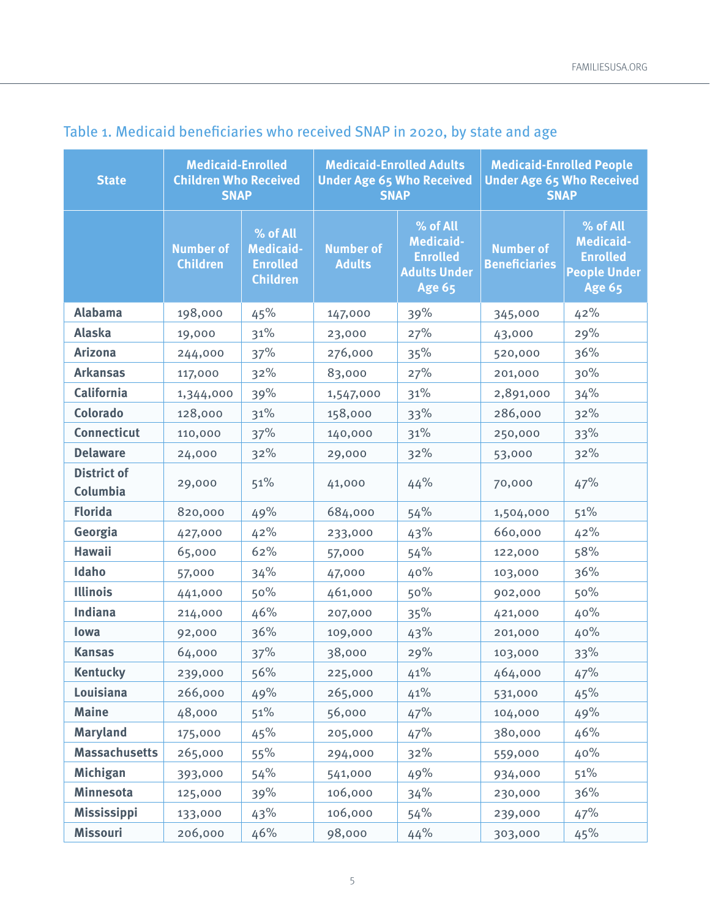| <b>State</b>                   | <b>Medicaid-Enrolled</b><br><b>Children Who Received</b><br><b>SNAP</b> |                                                                    | <b>Medicaid-Enrolled Adults</b><br><b>Under Age 65 Who Received</b><br><b>SNAP</b> |                                                                                         | <b>Medicaid-Enrolled People</b><br><b>Under Age 65 Who Received</b><br><b>SNAP</b> |                                                                                         |
|--------------------------------|-------------------------------------------------------------------------|--------------------------------------------------------------------|------------------------------------------------------------------------------------|-----------------------------------------------------------------------------------------|------------------------------------------------------------------------------------|-----------------------------------------------------------------------------------------|
|                                | <b>Number of</b><br><b>Children</b>                                     | % of All<br><b>Medicaid-</b><br><b>Enrolled</b><br><b>Children</b> | <b>Number of</b><br><b>Adults</b>                                                  | % of All<br><b>Medicaid-</b><br><b>Enrolled</b><br><b>Adults Under</b><br><b>Age 65</b> | <b>Number of</b><br><b>Beneficiaries</b>                                           | % of All<br><b>Medicaid-</b><br><b>Enrolled</b><br><b>People Under</b><br><b>Age 65</b> |
| <b>Alabama</b>                 | 198,000                                                                 | 45%                                                                | 147,000                                                                            | 39%                                                                                     | 345,000                                                                            | 42%                                                                                     |
| <b>Alaska</b>                  | 19,000                                                                  | 31%                                                                | 23,000                                                                             | 27%                                                                                     | 43,000                                                                             | 29%                                                                                     |
| <b>Arizona</b>                 | 244,000                                                                 | 37%                                                                | 276,000                                                                            | 35%                                                                                     | 520,000                                                                            | 36%                                                                                     |
| <b>Arkansas</b>                | 117,000                                                                 | 32%                                                                | 83,000                                                                             | 27%                                                                                     | 201,000                                                                            | 30%                                                                                     |
| California                     | 1,344,000                                                               | 39%                                                                | 1,547,000                                                                          | 31%                                                                                     | 2,891,000                                                                          | 34%                                                                                     |
| <b>Colorado</b>                | 128,000                                                                 | 31%                                                                | 158,000                                                                            | 33%                                                                                     | 286,000                                                                            | 32%                                                                                     |
| <b>Connecticut</b>             | 110,000                                                                 | 37%                                                                | 140,000                                                                            | 31%                                                                                     | 250,000                                                                            | 33%                                                                                     |
| <b>Delaware</b>                | 24,000                                                                  | 32%                                                                | 29,000                                                                             | 32%                                                                                     | 53,000                                                                             | 32%                                                                                     |
| <b>District of</b><br>Columbia | 29,000                                                                  | 51%                                                                | 41,000                                                                             | 44%                                                                                     | 70,000                                                                             | 47%                                                                                     |
| <b>Florida</b>                 | 820,000                                                                 | 49%                                                                | 684,000                                                                            | 54%                                                                                     | 1,504,000                                                                          | 51%                                                                                     |
| Georgia                        | 427,000                                                                 | 42%                                                                | 233,000                                                                            | 43%                                                                                     | 660,000                                                                            | 42%                                                                                     |
| <b>Hawaii</b>                  | 65,000                                                                  | 62%                                                                | 57,000                                                                             | 54%                                                                                     | 122,000                                                                            | 58%                                                                                     |
| Idaho                          | 57,000                                                                  | 34%                                                                | 47,000                                                                             | 40%                                                                                     | 103,000                                                                            | 36%                                                                                     |
| <b>Illinois</b>                | 441,000                                                                 | 50%                                                                | 461,000                                                                            | 50%                                                                                     | 902,000                                                                            | 50%                                                                                     |
| <b>Indiana</b>                 | 214,000                                                                 | 46%                                                                | 207,000                                                                            | 35%                                                                                     | 421,000                                                                            | 40%                                                                                     |
| lowa                           | 92,000                                                                  | 36%                                                                | 109,000                                                                            | 43%                                                                                     | 201,000                                                                            | 40%                                                                                     |
| <b>Kansas</b>                  | 64,000                                                                  | 37%                                                                | 38,000                                                                             | 29%                                                                                     | 103,000                                                                            | 33%                                                                                     |
| <b>Kentucky</b>                | 239,000                                                                 | 56%                                                                | 225,000                                                                            | 41%                                                                                     | 464,000                                                                            | 47%                                                                                     |
| Louisiana                      | 266,000                                                                 | 49%                                                                | 265,000                                                                            | 41%                                                                                     | 531,000                                                                            | 45%                                                                                     |
| <b>Maine</b>                   | 48,000                                                                  | 51%                                                                | 56,000                                                                             | 47%                                                                                     | 104,000                                                                            | 49%                                                                                     |
| <b>Maryland</b>                | 175,000                                                                 | 45%                                                                | 205,000                                                                            | 47%                                                                                     | 380,000                                                                            | 46%                                                                                     |
| <b>Massachusetts</b>           | 265,000                                                                 | 55%                                                                | 294,000                                                                            | $32\%$                                                                                  | 559,000                                                                            | 40%                                                                                     |
| <b>Michigan</b>                | 393,000                                                                 | 54%                                                                | 541,000                                                                            | 49%                                                                                     | 934,000                                                                            | 51%                                                                                     |
| <b>Minnesota</b>               | 125,000                                                                 | 39%                                                                | 106,000                                                                            | 34%                                                                                     | 230,000                                                                            | 36%                                                                                     |
| <b>Mississippi</b>             | 133,000                                                                 | 43%                                                                | 106,000                                                                            | 54%                                                                                     | 239,000                                                                            | 47%                                                                                     |
| <b>Missouri</b>                | 206,000                                                                 | 46%                                                                | 98,000                                                                             | 44%                                                                                     | 303,000                                                                            | 45%                                                                                     |

# Table 1. Medicaid beneficiaries who received SNAP in 2020, by state and age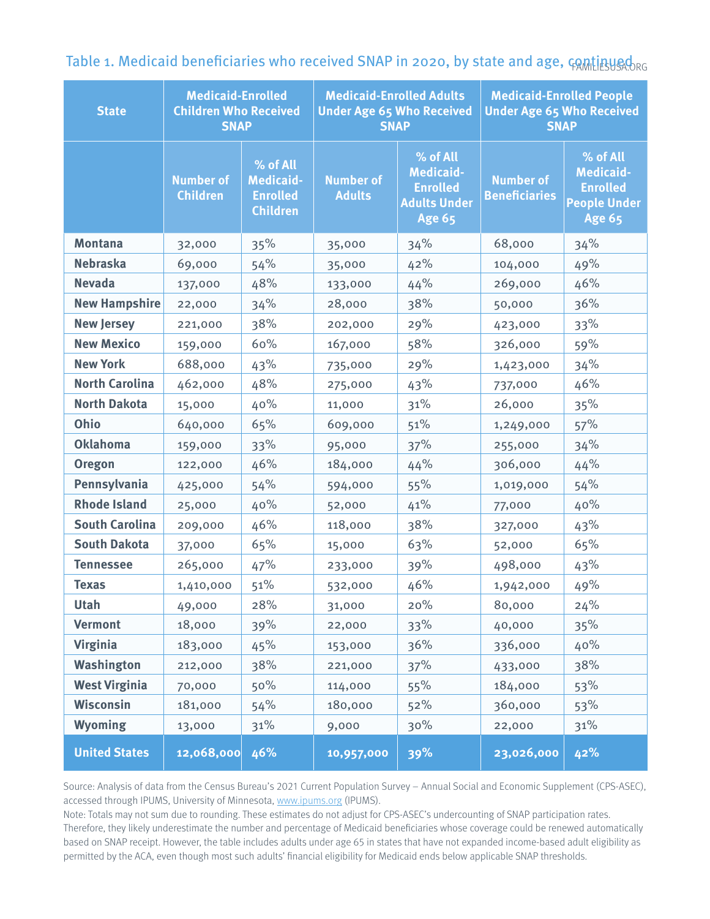| <b>State</b>          | <b>Medicaid-Enrolled</b><br><b>Children Who Received</b><br><b>SNAP</b> |                                                                    | <b>Medicaid-Enrolled Adults</b><br><b>Under Age 65 Who Received</b><br><b>SNAP</b> |                                                                                         | <b>Medicaid-Enrolled People</b><br><b>Under Age 65 Who Received</b><br><b>SNAP</b> |                                                                                         |
|-----------------------|-------------------------------------------------------------------------|--------------------------------------------------------------------|------------------------------------------------------------------------------------|-----------------------------------------------------------------------------------------|------------------------------------------------------------------------------------|-----------------------------------------------------------------------------------------|
|                       | <b>Number of</b><br><b>Children</b>                                     | % of All<br><b>Medicaid-</b><br><b>Enrolled</b><br><b>Children</b> | <b>Number of</b><br><b>Adults</b>                                                  | % of All<br><b>Medicaid-</b><br><b>Enrolled</b><br><b>Adults Under</b><br><b>Age 65</b> | <b>Number of</b><br><b>Beneficiaries</b>                                           | % of All<br><b>Medicaid-</b><br><b>Enrolled</b><br><b>People Under</b><br><b>Age 65</b> |
| <b>Montana</b>        | 32,000                                                                  | 35%                                                                | 35,000                                                                             | 34%                                                                                     | 68,000                                                                             | 34%                                                                                     |
| <b>Nebraska</b>       | 69,000                                                                  | 54%                                                                | 35,000                                                                             | 42%                                                                                     | 104,000                                                                            | 49%                                                                                     |
| <b>Nevada</b>         | 137,000                                                                 | 48%                                                                | 133,000                                                                            | 44%                                                                                     | 269,000                                                                            | 46%                                                                                     |
| <b>New Hampshire</b>  | 22,000                                                                  | 34%                                                                | 28,000                                                                             | 38%                                                                                     | 50,000                                                                             | 36%                                                                                     |
| <b>New Jersey</b>     | 221,000                                                                 | 38%                                                                | 202,000                                                                            | 29%                                                                                     | 423,000                                                                            | 33%                                                                                     |
| <b>New Mexico</b>     | 159,000                                                                 | 60%                                                                | 167,000                                                                            | 58%                                                                                     | 326,000                                                                            | 59%                                                                                     |
| <b>New York</b>       | 688,000                                                                 | 43%                                                                | 735,000                                                                            | 29%                                                                                     | 1,423,000                                                                          | 34%                                                                                     |
| <b>North Carolina</b> | 462,000                                                                 | 48%                                                                | 275,000                                                                            | 43%                                                                                     | 737,000                                                                            | 46%                                                                                     |
| <b>North Dakota</b>   | 15,000                                                                  | 40%                                                                | 11,000                                                                             | 31%                                                                                     | 26,000                                                                             | 35%                                                                                     |
| Ohio                  | 640,000                                                                 | 65%                                                                | 609,000                                                                            | 51%                                                                                     | 1,249,000                                                                          | 57%                                                                                     |
| <b>Oklahoma</b>       | 159,000                                                                 | 33%                                                                | 95,000                                                                             | 37%                                                                                     | 255,000                                                                            | 34%                                                                                     |
| <b>Oregon</b>         | 122,000                                                                 | 46%                                                                | 184,000                                                                            | 44%                                                                                     | 306,000                                                                            | 44%                                                                                     |
| Pennsylvania          | 425,000                                                                 | 54%                                                                | 594,000                                                                            | 55%                                                                                     | 1,019,000                                                                          | 54%                                                                                     |
| <b>Rhode Island</b>   | 25,000                                                                  | 40%                                                                | 52,000                                                                             | 41%                                                                                     | 77,000                                                                             | 40%                                                                                     |
| <b>South Carolina</b> | 209,000                                                                 | 46%                                                                | 118,000                                                                            | 38%                                                                                     | 327,000                                                                            | 43%                                                                                     |
| <b>South Dakota</b>   | 37,000                                                                  | 65%                                                                | 15,000                                                                             | 63%                                                                                     | 52,000                                                                             | 65%                                                                                     |
| <b>Tennessee</b>      | 265,000                                                                 | 47%                                                                | 233,000                                                                            | 39%                                                                                     | 498,000                                                                            | 43%                                                                                     |
| <b>Texas</b>          | 1,410,000                                                               | 51%                                                                | 532,000                                                                            | 46%                                                                                     | 1,942,000                                                                          | 49%                                                                                     |
| Utah                  | 49,000                                                                  | 28%                                                                | 31,000                                                                             | 20%                                                                                     | 80,000                                                                             | 24%                                                                                     |
| <b>Vermont</b>        | 18,000                                                                  | 39%                                                                | 22,000                                                                             | 33%                                                                                     | 40,000                                                                             | 35%                                                                                     |
| <b>Virginia</b>       | 183,000                                                                 | 45%                                                                | 153,000                                                                            | 36%                                                                                     | 336,000                                                                            | 40%                                                                                     |
| Washington            | 212,000                                                                 | 38%                                                                | 221,000                                                                            | 37%                                                                                     | 433,000                                                                            | 38%                                                                                     |
| <b>West Virginia</b>  | 70,000                                                                  | 50%                                                                | 114,000                                                                            | 55%                                                                                     | 184,000                                                                            | 53%                                                                                     |
| Wisconsin             | 181,000                                                                 | 54%                                                                | 180,000                                                                            | 52%                                                                                     | 360,000                                                                            | 53%                                                                                     |
| <b>Wyoming</b>        | 13,000                                                                  | 31%                                                                | 9,000                                                                              | 30%                                                                                     | 22,000                                                                             | 31%                                                                                     |
| <b>United States</b>  | 12,068,000                                                              | 46%                                                                | 10,957,000                                                                         | 39%                                                                                     | 23,026,000                                                                         | 42%                                                                                     |

Table 1. Medicaid beneficiaries who received SNAP in 2020, by state and age,  $\epsilon$ ontinue  $\epsilon$ 

Source: Analysis of data from the Census Bureau's 2021 Current Population Survey – Annual Social and Economic Supplement (CPS-ASEC), accessed through IPUMS, University of Minnesota, [www.ipums.org](http://www.ipums.org) (IPUMS).

Note: Totals may not sum due to rounding. These estimates do not adjust for CPS-ASEC's undercounting of SNAP participation rates.

Therefore, they likely underestimate the number and percentage of Medicaid beneficiaries whose coverage could be renewed automatically based on SNAP receipt. However, the table includes adults under age 65 in states that have not expanded income-based adult eligibility as permitted by the ACA, even though most such adults' financial eligibility for Medicaid ends below applicable SNAP thresholds.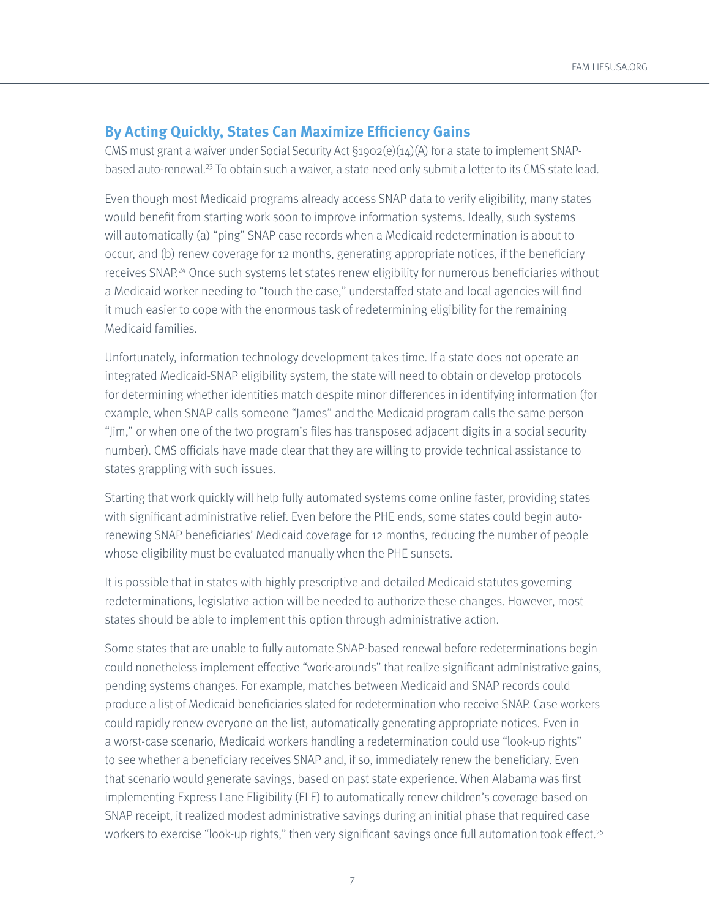### <span id="page-6-0"></span>**By Acting Quickly, States Can Maximize Efficiency Gains**

CMS must grant a waiver under Social Security Act §1902(e)(14)(A) for a state to implement SNAPbased auto-renewal[.23](#page-10-0) To obtain such a waiver, a state need only submit a letter to its CMS state lead.

Even though most Medicaid programs already access SNAP data to verify eligibility, many states would benefit from starting work soon to improve information systems. Ideally, such systems will automatically (a) "ping" SNAP case records when a Medicaid redetermination is about to occur, and (b) renew coverage for 12 months, generating appropriate notices, if the beneficiary receives SNAP.<sup>[24](#page-10-0)</sup> Once such systems let states renew eligibility for numerous beneficiaries without a Medicaid worker needing to "touch the case," understaffed state and local agencies will find it much easier to cope with the enormous task of redetermining eligibility for the remaining Medicaid families.

Unfortunately, information technology development takes time. If a state does not operate an integrated Medicaid-SNAP eligibility system, the state will need to obtain or develop protocols for determining whether identities match despite minor differences in identifying information (for example, when SNAP calls someone "James" and the Medicaid program calls the same person "Jim," or when one of the two program's files has transposed adjacent digits in a social security number). CMS officials have made clear that they are willing to provide technical assistance to states grappling with such issues.

Starting that work quickly will help fully automated systems come online faster, providing states with significant administrative relief. Even before the PHE ends, some states could begin autorenewing SNAP beneficiaries' Medicaid coverage for 12 months, reducing the number of people whose eligibility must be evaluated manually when the PHE sunsets.

It is possible that in states with highly prescriptive and detailed Medicaid statutes governing redeterminations, legislative action will be needed to authorize these changes. However, most states should be able to implement this option through administrative action.

Some states that are unable to fully automate SNAP-based renewal before redeterminations begin could nonetheless implement effective "work-arounds" that realize significant administrative gains, pending systems changes. For example, matches between Medicaid and SNAP records could produce a list of Medicaid beneficiaries slated for redetermination who receive SNAP. Case workers could rapidly renew everyone on the list, automatically generating appropriate notices. Even in a worst-case scenario, Medicaid workers handling a redetermination could use "look-up rights" to see whether a beneficiary receives SNAP and, if so, immediately renew the beneficiary. Even that scenario would generate savings, based on past state experience. When Alabama was first implementing Express Lane Eligibility (ELE) to automatically renew children's coverage based on SNAP receipt, it realized modest administrative savings during an initial phase that required case workers to exercise "look-up rights," then very significant savings once full automation took effect.<sup>25</sup>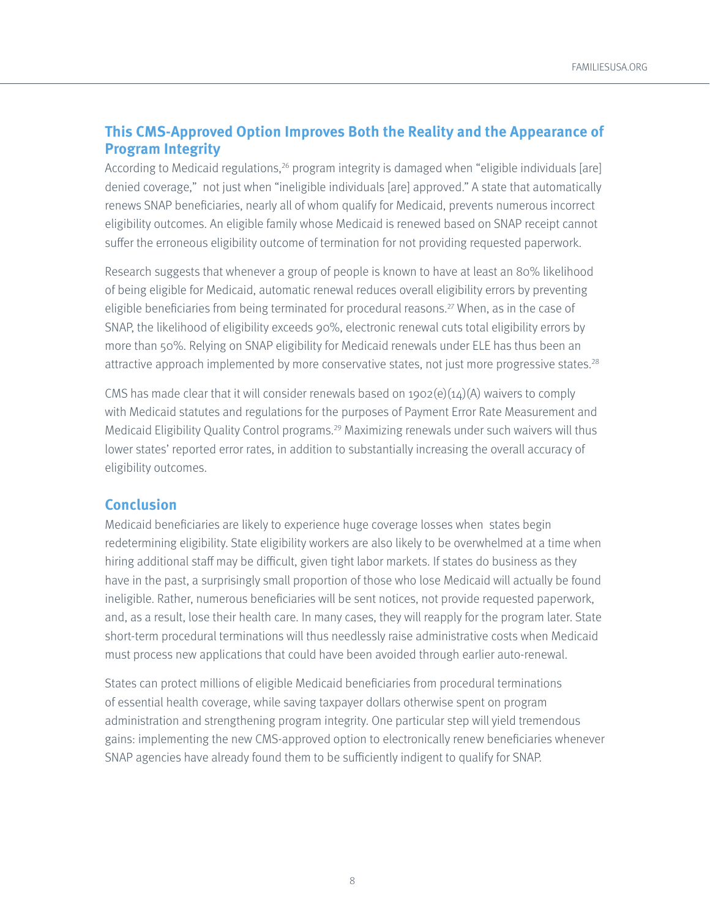## <span id="page-7-0"></span>**This CMS-Approved Option Improves Both the Reality and the Appearance of Program Integrity**

According to Medicaid regulations,<sup>26</sup> program integrity is damaged when "eligible individuals [are] denied coverage," not just when "ineligible individuals [are] approved." A state that automatically renews SNAP beneficiaries, nearly all of whom qualify for Medicaid, prevents numerous incorrect eligibility outcomes. An eligible family whose Medicaid is renewed based on SNAP receipt cannot suffer the erroneous eligibility outcome of termination for not providing requested paperwork.

Research suggests that whenever a group of people is known to have at least an 80% likelihood of being eligible for Medicaid, automatic renewal reduces overall eligibility errors by preventing eligible beneficiaries from being terminated for procedural reasons.<sup>27</sup> When, as in the case of SNAP, the likelihood of eligibility exceeds 90%, electronic renewal cuts total eligibility errors by more than 50%. Relying on SNAP eligibility for Medicaid renewals under ELE has thus been an attractive approach implemented by more conservative states, not just more progressive states.<sup>28</sup>

CMS has made clear that it will consider renewals based on  $1902(e)(14)(A)$  waivers to comply with Medicaid statutes and regulations for the purposes of Payment Error Rate Measurement and Medicaid Eligibility Quality Control programs.[29](#page-10-0) Maximizing renewals under such waivers will thus lower states' reported error rates, in addition to substantially increasing the overall accuracy of eligibility outcomes.

#### **Conclusion**

Medicaid beneficiaries are likely to experience huge coverage losses when states begin redetermining eligibility. State eligibility workers are also likely to be overwhelmed at a time when hiring additional staff may be difficult, given tight labor markets. If states do business as they have in the past, a surprisingly small proportion of those who lose Medicaid will actually be found ineligible. Rather, numerous beneficiaries will be sent notices, not provide requested paperwork, and, as a result, lose their health care. In many cases, they will reapply for the program later. State short-term procedural terminations will thus needlessly raise administrative costs when Medicaid must process new applications that could have been avoided through earlier auto-renewal.

States can protect millions of eligible Medicaid beneficiaries from procedural terminations of essential health coverage, while saving taxpayer dollars otherwise spent on program administration and strengthening program integrity. One particular step will yield tremendous gains: implementing the new CMS-approved option to electronically renew beneficiaries whenever SNAP agencies have already found them to be sufficiently indigent to qualify for SNAP.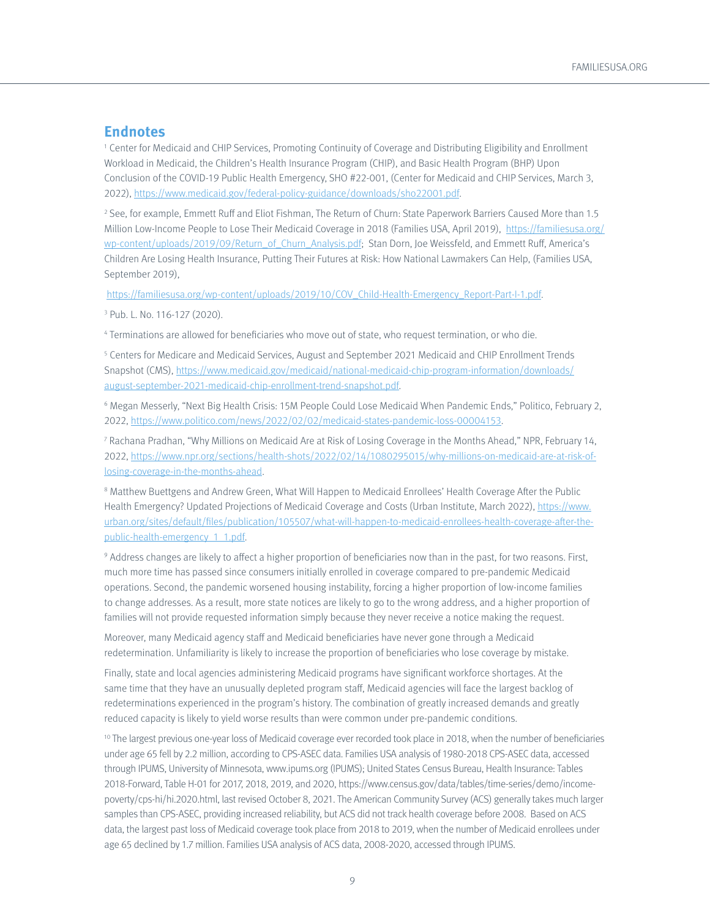#### <span id="page-8-0"></span>**Endnotes**

[1](#page-0-0) Center for Medicaid and CHIP Services, Promoting Continuity of Coverage and Distributing Eligibility and Enrollment Workload in Medicaid, the Children's Health Insurance Program (CHIP), and Basic Health Program (BHP) Upon Conclusion of the COVID-19 Public Health Emergency, SHO #22-001, (Center for Medicaid and CHIP Services, March 3, 2022), <https://www.medicaid.gov/federal-policy-guidance/downloads/sho22001.pdf>.

2 See, for example, Emmett Ruff and Eliot Fishman, The Return of Churn: State Paperwork Barriers Caused More than 1.5 Million Low-Income People to Lose Their Medicaid Coverage in 2018 (Families USA, April 2019), [https://familiesusa.org/](https://familiesusa.org/wp-content/uploads/2019/09/Return_of_Churn_Analysis.pdf) [wp-content/uploads/2019/09/Return\\_of\\_Churn\\_Analysis.pdf;](https://familiesusa.org/wp-content/uploads/2019/09/Return_of_Churn_Analysis.pdf) Stan Dorn, Joe Weissfeld, and Emmett Ruff, America's Children Are Losing Health Insurance, Putting Their Futures at Risk: How National Lawmakers Can Help, (Families USA, September 2019),

[https://familiesusa.org/wp-content/uploads/2019/10/COV\\_Child-Health-Emergency\\_Report-Part-I-1.pdf.](https://familiesusa.org/wp-content/uploads/2019/10/COV_Child-Health-Emergency_Report-Part-I-1.pdf)

3 Pub. L. No. 116-127 (2020).

4 Terminations are allowed for beneficiaries who move out of state, who request termination, or who die.

5 Centers for Medicare and Medicaid Services, August and September 2021 Medicaid and CHIP Enrollment Trends Snapshot (CMS), [https://www.medicaid.gov/medicaid/national-medicaid-chip-program-information/downloads/](https://www.medicaid.gov/medicaid/national-medicaid-chip-program-information/downloads/august-september-2021-medicaid-chip-enrollment-trend-snapshot.pdf) [august-september-2021-medicaid-chip-enrollment-trend-snapshot.pdf](https://www.medicaid.gov/medicaid/national-medicaid-chip-program-information/downloads/august-september-2021-medicaid-chip-enrollment-trend-snapshot.pdf).

6 Megan Messerly, "Next Big Health Crisis: 15M People Could Lose Medicaid When Pandemic Ends," Politico, February 2, 2022, <https://www.politico.com/news/2022/02/02/medicaid-states-pandemic-loss-00004153>.

[7](#page-1-0) Rachana Pradhan, "Why Millions on Medicaid Are at Risk of Losing Coverage in the Months Ahead," NPR, February 14, 2022, [https://www.npr.org/sections/health-shots/2022/02/14/1080295015/why-millions-on-medicaid-are-at-risk-of](https://www.npr.org/sections/health-shots/2022/02/14/1080295015/why-millions-on-medicaid-are-at-risk-of-losing-coverage-in-the-months-ahead)[losing-coverage-in-the-months-ahead](https://www.npr.org/sections/health-shots/2022/02/14/1080295015/why-millions-on-medicaid-are-at-risk-of-losing-coverage-in-the-months-ahead).

 $^{\rm 8}$  $^{\rm 8}$  $^{\rm 8}$  Matthew Buettgens and Andrew Green, What Will Happen to Medicaid Enrollees' Health Coverage After the Public Health Emergency? Updated Projections of Medicaid Coverage and Costs (Urban Institute, March 2022), [https://www.](https://www.urban.org/sites/default/files/publication/105507/what-will-happen-to-medicaid-enrollees-health-coverage-after-the-public-health-emergency_1_1.pdf) [urban.org/sites/default/files/publication/105507/what-will-happen-to-medicaid-enrollees-health-coverage-after-the](https://www.urban.org/sites/default/files/publication/105507/what-will-happen-to-medicaid-enrollees-health-coverage-after-the-public-health-emergency_1_1.pdf)[public-health-emergency\\_1\\_1.pdf](https://www.urban.org/sites/default/files/publication/105507/what-will-happen-to-medicaid-enrollees-health-coverage-after-the-public-health-emergency_1_1.pdf).

9 Address changes are likely to affect a higher proportion of beneficiaries now than in the past, for two reasons. First, much more time has passed since consumers initially enrolled in coverage compared to pre-pandemic Medicaid operations. Second, the pandemic worsened housing instability, forcing a higher proportion of low-income families to change addresses. As a result, more state notices are likely to go to the wrong address, and a higher proportion of families will not provide requested information simply because they never receive a notice making the request.

Moreover, many Medicaid agency staff and Medicaid beneficiaries have never gone through a Medicaid redetermination. Unfamiliarity is likely to increase the proportion of beneficiaries who lose coverage by mistake.

Finally, state and local agencies administering Medicaid programs have significant workforce shortages. At the same time that they have an unusually depleted program staff, Medicaid agencies will face the largest backlog of redeterminations experienced in the program's history. The combination of greatly increased demands and greatly reduced capacity is likely to yield worse results than were common under pre-pandemic conditions.

<sup>10</sup> The largest previous one-year loss of Medicaid coverage ever recorded took place in 2018, when the number of beneficiaries under age 65 fell by 2.2 million, according to CPS-ASEC data. Families USA analysis of 1980-2018 CPS-ASEC data, accessed through IPUMS, University of Minnesota, www.ipums.org (IPUMS); United States Census Bureau, Health Insurance: Tables 2018-Forward, Table H-01 for 2017, 2018, 2019, and 2020, https://www.census.gov/data/tables/time-series/demo/incomepoverty/cps-hi/hi.2020.html, last revised October 8, 2021. The American Community Survey (ACS) generally takes much larger samples than CPS-ASEC, providing increased reliability, but ACS did not track health coverage before 2008. Based on ACS data, the largest past loss of Medicaid coverage took place from 2018 to 2019, when the number of Medicaid enrollees under age 65 declined by 1.7 million. Families USA analysis of ACS data, 2008-2020, accessed through IPUMS.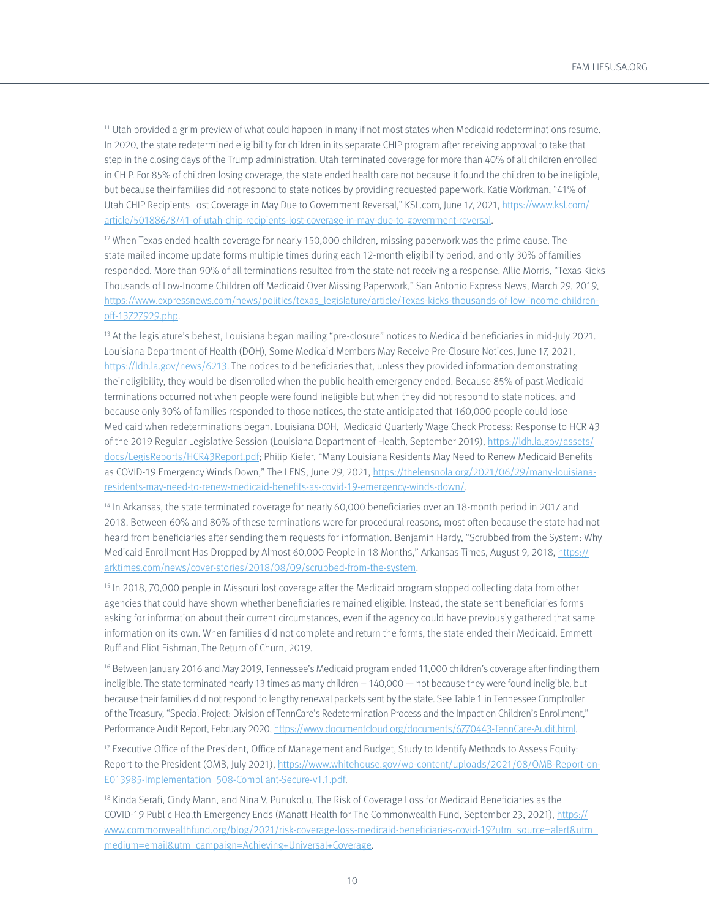<span id="page-9-0"></span> $11$  Utah provided a grim preview of what could happen in many if not most states when Medicaid redeterminations resume. In 2020, the state redetermined eligibility for children in its separate CHIP program after receiving approval to take that step in the closing days of the Trump administration. Utah terminated coverage for more than 40% of all children enrolled in CHIP. For 85% of children losing coverage, the state ended health care not because it found the children to be ineligible, but because their families did not respond to state notices by providing requested paperwork. Katie Workman, "41% of Utah CHIP Recipients Lost Coverage in May Due to Government Reversal," KSL.com, June 17, 2021, [https://www.ksl.com/](https://www.ksl.com/article/50188678/41-of-utah-chip-recipients-lost-coverage-in-may-due-to-government-reversal) [article/50188678/41-of-utah-chip-recipients-lost-coverage-in-may-due-to-government-reversal.](https://www.ksl.com/article/50188678/41-of-utah-chip-recipients-lost-coverage-in-may-due-to-government-reversal)

[12](#page-2-0) When Texas ended health coverage for nearly 150,000 children, missing paperwork was the prime cause. The state mailed income update forms multiple times during each 12-month eligibility period, and only 30% of families responded. More than 90% of all terminations resulted from the state not receiving a response. Allie Morris, "Texas Kicks Thousands of Low-Income Children off Medicaid Over Missing Paperwork," San Antonio Express News, March 29, 2019, [https://www.expressnews.com/news/politics/texas\\_legislature/article/Texas-kicks-thousands-of-low-income-children](https://www.expressnews.com/news/politics/texas_legislature/article/Texas-kicks-thousands-of-low-income-children-off-13727929.php)[off-13727929.php.](https://www.expressnews.com/news/politics/texas_legislature/article/Texas-kicks-thousands-of-low-income-children-off-13727929.php)

<sup>[13](#page-2-0)</sup> At the legislature's behest, Louisiana began mailing "pre-closure" notices to Medicaid beneficiaries in mid-July 2021. Louisiana Department of Health (DOH), Some Medicaid Members May Receive Pre-Closure Notices, June 17, 2021, [https://ldh.la.gov/news/6213.](https://ldh.la.gov/news/6213) The notices told beneficiaries that, unless they provided information demonstrating their eligibility, they would be disenrolled when the public health emergency ended. Because 85% of past Medicaid terminations occurred not when people were found ineligible but when they did not respond to state notices, and because only 30% of families responded to those notices, the state anticipated that 160,000 people could lose Medicaid when redeterminations began. Louisiana DOH, Medicaid Quarterly Wage Check Process: Response to HCR 43 of the 2019 Regular Legislative Session (Louisiana Department of Health, September 2019), [https://ldh.la.gov/assets/](https://ldh.la.gov/assets/docs/LegisReports/HCR43Report.pdf) [docs/LegisReports/HCR43Report.pdf;](https://ldh.la.gov/assets/docs/LegisReports/HCR43Report.pdf) Philip Kiefer, "Many Louisiana Residents May Need to Renew Medicaid Benefits as COVID-19 Emergency Winds Down," The LENS, June 29, 2021, [https://thelensnola.org/2021/06/29/many-louisiana](https://thelensnola.org/2021/06/29/many-louisiana-residents-may-need-to-renew-medicaid-benefits-as-covid-19-emergency-winds-down/)[residents-may-need-to-renew-medicaid-benefits-as-covid-19-emergency-winds-down/.](https://thelensnola.org/2021/06/29/many-louisiana-residents-may-need-to-renew-medicaid-benefits-as-covid-19-emergency-winds-down/)

<sup>14</sup> In Arkansas, the state terminated coverage for nearly 60,000 beneficiaries over an 18-month period in 2017 and 2018. Between 60% and 80% of these terminations were for procedural reasons, most often because the state had not heard from beneficiaries after sending them requests for information. Benjamin Hardy, "Scrubbed from the System: Why Medicaid Enrollment Has Dropped by Almost 60,000 People in 18 Months," Arkansas Times, August 9, 2018, [https://](https://arktimes.com/news/cover-stories/2018/08/09/scrubbed-from-the-system) [arktimes.com/news/cover-stories/2018/08/09/scrubbed-from-the-system.](https://arktimes.com/news/cover-stories/2018/08/09/scrubbed-from-the-system)

<sup>15</sup> In 2018, 70,000 people in Missouri lost coverage after the Medicaid program stopped collecting data from other agencies that could have shown whether beneficiaries remained eligible. Instead, the state sent beneficiaries forms asking for information about their current circumstances, even if the agency could have previously gathered that same information on its own. When families did not complete and return the forms, the state ended their Medicaid. Emmett Ruff and Eliot Fishman, The Return of Churn, 2019.

<sup>16</sup> Between January 2016 and May 2019, Tennessee's Medicaid program ended 11,000 children's coverage after finding them ineligible. The state terminated nearly 13 times as many children – 140,000 — not because they were found ineligible, but because their families did not respond to lengthy renewal packets sent by the state. See Table 1 in Tennessee Comptroller of the Treasury, "Special Project: Division of TennCare's Redetermination Process and the Impact on Children's Enrollment," Performance Audit Report, February 2020,<https://www.documentcloud.org/documents/6770443-TennCare-Audit.html>.

<sup>17</sup> Executive Office of the President, Office of Management and Budget, Study to Identify Methods to Assess Equity: Report to the President (OMB, July 2021), [https://www.whitehouse.gov/wp-content/uploads/2021/08/OMB-Report-on-](https://www.whitehouse.gov/wp-content/uploads/2021/08/OMB-Report-on-E013985-Implementation_508-Compliant-Secure-v1.1.pdf)[E013985-Implementation\\_508-Compliant-Secure-v1.1.pdf.](https://www.whitehouse.gov/wp-content/uploads/2021/08/OMB-Report-on-E013985-Implementation_508-Compliant-Secure-v1.1.pdf)

18 Kinda Serafi, Cindy Mann, and Nina V. Punukollu, The Risk of Coverage Loss for Medicaid Beneficiaries as the COVID-19 Public Health Emergency Ends (Manatt Health for The Commonwealth Fund, September 23, 2021), [https://](https://www.commonwealthfund.org/blog/2021/risk-coverage-loss-medicaid-beneficiaries-covid-19?utm_source=alert&utm_medium=email&utm_campaign=Achieving+Universal+Coverage) [www.commonwealthfund.org/blog/2021/risk-coverage-loss-medicaid-beneficiaries-covid-19?utm\\_source=alert&utm\\_](https://www.commonwealthfund.org/blog/2021/risk-coverage-loss-medicaid-beneficiaries-covid-19?utm_source=alert&utm_medium=email&utm_campaign=Achieving+Universal+Coverage) [medium=email&utm\\_campaign=Achieving+Universal+Coverage](https://www.commonwealthfund.org/blog/2021/risk-coverage-loss-medicaid-beneficiaries-covid-19?utm_source=alert&utm_medium=email&utm_campaign=Achieving+Universal+Coverage).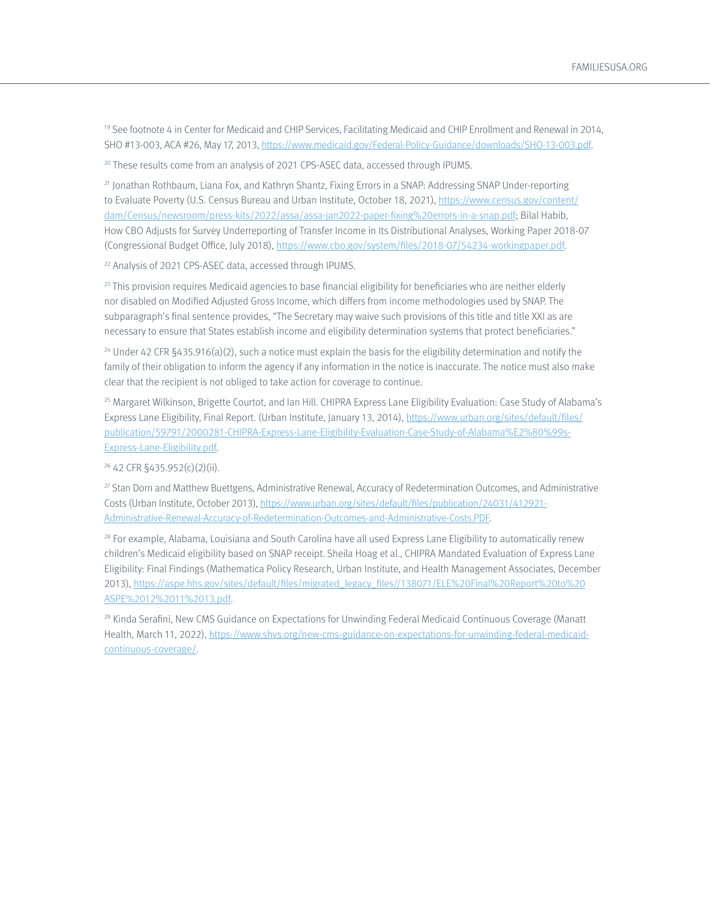<span id="page-10-0"></span>19 See footnote 4 in Center for Medicaid and CHIP Services, Facilitating Medicaid and CHIP Enrollment and Renewal in 2014, SHO #13-003, ACA #26, May 17, 2013, [https://www.medicaid.gov/Federal-Policy-Guidance/downloads/SHO-13-003.pdf.](https://www.medicaid.gov/Federal-Policy-Guidance/downloads/SHO-13-003.pdf)

<sup>20</sup> These results come from an analysis of 2021 CPS-ASEC data, accessed through IPUMS.

21 Jonathan Rothbaum, Liana Fox, and Kathryn Shantz, Fixing Errors in a SNAP: Addressing SNAP Under-reporting to Evaluate Poverty (U.S. Census Bureau and Urban Institute, October 18, 2021), [https://www.census.gov/content/](https://www.census.gov/content/dam/Census/newsroom/press-kits/2022/assa/assa-jan2022-paper-fixing%20errors-in-a-snap.pdf) [dam/Census/newsroom/press-kits/2022/assa/assa-jan2022-paper-fixing%20errors-in-a-snap.pdf;](https://www.census.gov/content/dam/Census/newsroom/press-kits/2022/assa/assa-jan2022-paper-fixing%20errors-in-a-snap.pdf) Bilal Habib, How CBO Adjusts for Survey Underreporting of Transfer Income in Its Distributional Analyses, Working Paper 2018-07 (Congressional Budget Office, July 2018), [https://www.cbo.gov/system/files/2018-07/54234-workingpaper.pdf.](https://www.cbo.gov/system/files/2018-07/54234-workingpaper.pdf)

22 Analysis of 2021 CPS-ASEC data, accessed through IPUMS.

 $23$  This provision requires Medicaid agencies to base financial eligibility for beneficiaries who are neither elderly nor disabled on Modified Adjusted Gross Income, which differs from income methodologies used by SNAP. The subparagraph's final sentence provides, "The Secretary may waive such provisions of this title and title XXI as are necessary to ensure that States establish income and eligibility determination systems that protect beneficiaries."

 $24$  Under 42 CFR §435.916(a)(2), such a notice must explain the basis for the eligibility determination and notify the family of their obligation to inform the agency if any information in the notice is inaccurate. The notice must also make clear that the recipient is not obliged to take action for coverage to continue.

[25](#page-6-0) Margaret Wilkinson, Brigette Courtot, and Ian Hill. CHIPRA Express Lane Eligibility Evaluation: Case Study of Alabama's Express Lane Eligibility, Final Report. (Urban Institute, January 13, 2014), [https://www.urban.org/sites/default/files/](https://www.urban.org/sites/default/files/publication/59791/2000281-CHIPRA-Express-Lane-Eligibility-Evaluation-Case-Study-of-Alabama%E2%80%99s-Express-Lane-Eligibility.pdf) [publication/59791/2000281-CHIPRA-Express-Lane-Eligibility-Evaluation-Case-Study-of-Alabama%E2%80%99s-](https://www.urban.org/sites/default/files/publication/59791/2000281-CHIPRA-Express-Lane-Eligibility-Evaluation-Case-Study-of-Alabama%E2%80%99s-Express-Lane-Eligibility.pdf)[Express-Lane-Eligibility.pdf.](https://www.urban.org/sites/default/files/publication/59791/2000281-CHIPRA-Express-Lane-Eligibility-Evaluation-Case-Study-of-Alabama%E2%80%99s-Express-Lane-Eligibility.pdf)

[26](#page-7-0) 42 CFR §435.952(c)(2)(ii).

<sup>27</sup> Stan Dorn and Matthew Buettgens, Administrative Renewal, Accuracy of Redetermination Outcomes, and Administrative Costs (Urban Institute, October 2013), [https://www.urban.org/sites/default/files/publication/24031/412921-](https://www.urban.org/sites/default/files/publication/24031/412921-Administrative-Renewal-Accuracy-of-Redetermination-Outcomes-and-Administrative-Costs.PDF) [Administrative-Renewal-Accuracy-of-Redetermination-Outcomes-and-Administrative-Costs.PDF.](https://www.urban.org/sites/default/files/publication/24031/412921-Administrative-Renewal-Accuracy-of-Redetermination-Outcomes-and-Administrative-Costs.PDF)

 $28$  For example, Alabama, Louisiana and South Carolina have all used Express Lane Eligibility to automatically renew children's Medicaid eligibility based on SNAP receipt. Sheila Hoag et al., CHIPRA Mandated Evaluation of Express Lane Eligibility: Final Findings (Mathematica Policy Research, Urban Institute, and Health Management Associates, December 2013), [https://aspe.hhs.gov/sites/default/files/migrated\\_legacy\\_files//138071/ELE%20Final%20Report%20to%20](https://aspe.hhs.gov/sites/default/files/migrated_legacy_files//138071/ELE%20Final%20Report%20to%20ASPE%2012%2011%2013.pdf) [ASPE%2012%2011%2013.pdf.](https://aspe.hhs.gov/sites/default/files/migrated_legacy_files//138071/ELE%20Final%20Report%20to%20ASPE%2012%2011%2013.pdf)

29 Kinda Serafini, New CMS Guidance on Expectations for Unwinding Federal Medicaid Continuous Coverage (Manatt Health, March 11, 2022), [https://www.shvs.org/new-cms-guidance-on-expectations-for-unwinding-federal-medicaid](https://www.shvs.org/new-cms-guidance-on-expectations-for-unwinding-federal-medicaid-continuous-coverage/)[continuous-coverage/](https://www.shvs.org/new-cms-guidance-on-expectations-for-unwinding-federal-medicaid-continuous-coverage/).